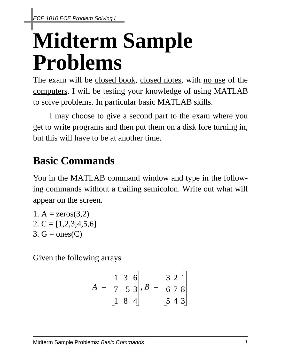## **Midterm Sample Problems**

The exam will be closed book, closed notes, with no use of the computers. I will be testing your knowledge of using MATLAB to solve problems. In particular basic MATLAB skills.

I may choose to give a second part to the exam where you get to write programs and then put them on a disk fore turning in, but this will have to be at another time.

## **Basic Commands**

You in the MATLAB command window and type in the following commands without a trailing semicolon. Write out what will appear on the screen.

1.  $A = zeros(3,2)$ 2. C =  $[1,2,3;4,5,6]$  $3. G = ones(C)$ 

Given the following arrays

$$
A = \begin{bmatrix} 1 & 3 & 6 \\ 7 & -5 & 3 \\ 1 & 8 & 4 \end{bmatrix}, B = \begin{bmatrix} 3 & 2 & 1 \\ 6 & 7 & 8 \\ 5 & 4 & 3 \end{bmatrix}
$$